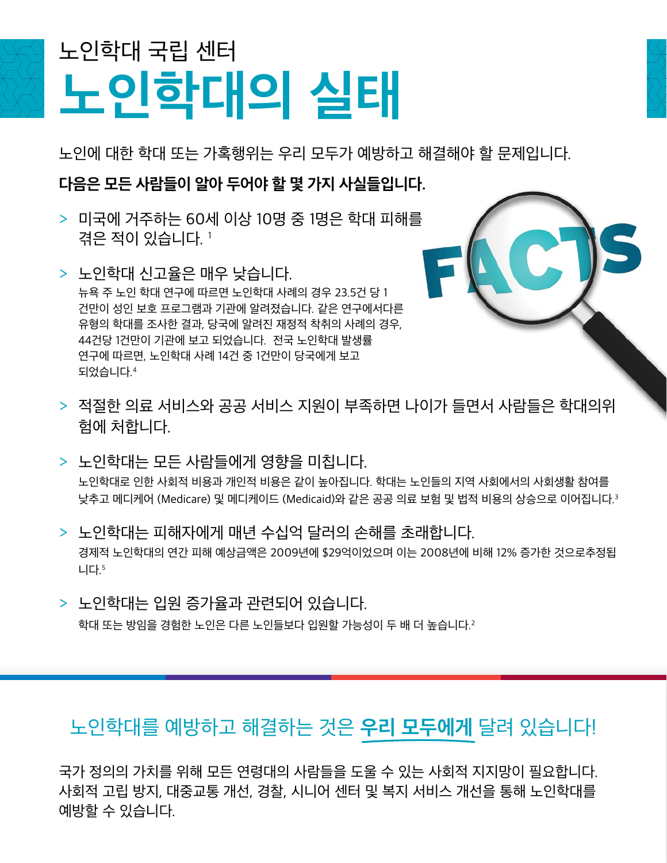## **노인학대의 실태** 노인학대 국립 센터

노인에 대한 학대 또는 가혹행위는 우리 모두가 예방하고 해결해야 할 문제입니다.

**다음은 모든 사람들이 알아 두어야 할 몇 가지 사실들입니다.**

- > 미국에 거주하는 60세 이상 10명 중 1명은 학대 피해를 겪은 적이 있습니다. <sup>1</sup>
- > 노인학대 신고율은 매우 낮습니다. 뉴욕 주 노인 학대 연구에 따르면 노인학대 사례의 경우 23.5건 당 1 건만이 성인 보호 프로그램과 기관에 알려졌습니다. 같은 연구에서다른 유형의 학대를 조사한 결과, 당국에 알려진 재정적 착취의 사례의 경우, 44건당 1건만이 기관에 보고 되었습니다. 전국 노인학대 발생률 연구에 따르면, 노인학대 사례 14건 중 1건만이 당국에게 보고 되었습니다.<sup>4</sup>
- > 적절한 의료 서비스와 공공 서비스 지원이 부족하면 나이가 들면서 사람들은 학대의위 험에 처합니다.
- > 노인학대는 모든 사람들에게 영향을 미칩니다. 노인학대로 인한 사회적 비용과 개인적 비용은 같이 높아집니다. 학대는 노인들의 지역 사회에서의 사회생활 참여를 낮추고 메디케어 (Medicare) 및 메디케이드 (Medicaid)와 같은 공공 의료 보험 및 법적 비용의 상승으로 이어집니다.<sup>3</sup>
- > 노인학대는 피해자에게 매년 수십억 달러의 손해를 초래합니다. 경제적 노인학대의 연간 피해 예상금액은 2009년에 \$29억이었으며 이는 2008년에 비해 12% 증가한 것으로추정됩 니다.<sup>5</sup>
- > 노인학대는 입원 증가율과 관련되어 있습니다.

학대 또는 방임을 경험한 노인은 다른 노인들보다 입원할 가능성이 두 배 더 높습니다.<sup>2</sup>

## 노인학대를 예방하고 해결하는 것은 **우리 모두에게** 달려 있습니다!

국가 정의의 가치를 위해 모든 연령대의 사람들을 도울 수 있는 사회적 지지망이 필요합니다. 사회적 고립 방지, 대중교통 개선, 경찰, 시니어 센터 및 복지 서비스 개선을 통해 노인학대를 예방할 수 있습니다.